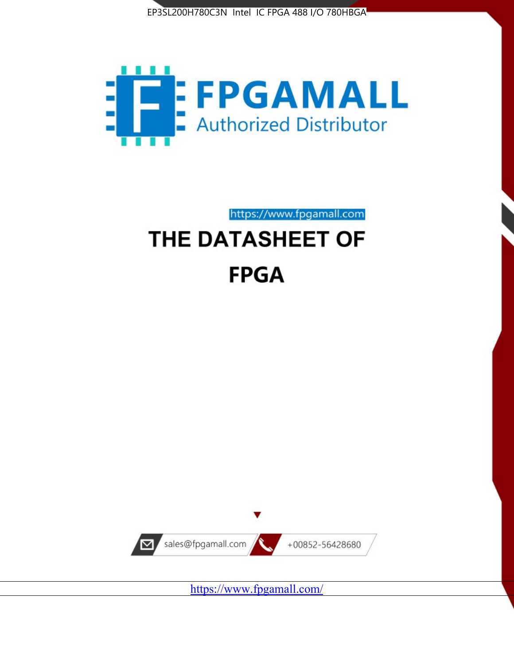



https://www.fpgamall.com

# THE DATASHEET OF **FPGA**



<https://www.fpgamall.com/>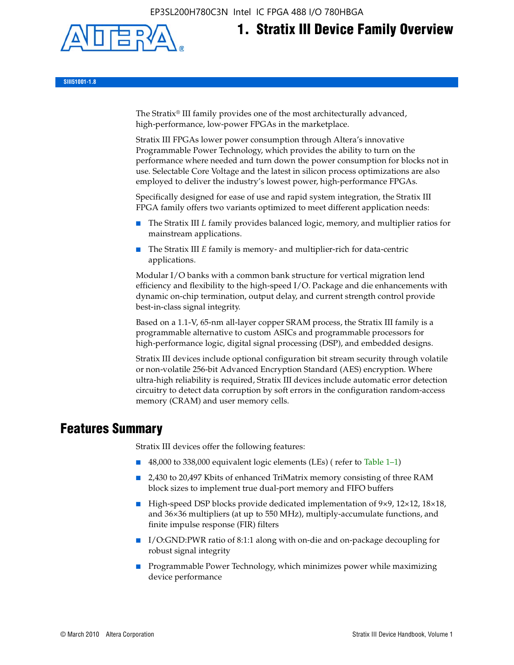

# **1. Stratix III Device Family Overview**

**SIII51001-1.8**

The Stratix® III family provides one of the most architecturally advanced, high-performance, low-power FPGAs in the marketplace.

Stratix III FPGAs lower power consumption through Altera's innovative Programmable Power Technology, which provides the ability to turn on the performance where needed and turn down the power consumption for blocks not in use. Selectable Core Voltage and the latest in silicon process optimizations are also employed to deliver the industry's lowest power, high-performance FPGAs.

Specifically designed for ease of use and rapid system integration, the Stratix III FPGA family offers two variants optimized to meet different application needs:

- The Stratix III *L* family provides balanced logic, memory, and multiplier ratios for mainstream applications.
- The Stratix III *E* family is memory- and multiplier-rich for data-centric applications.

Modular I/O banks with a common bank structure for vertical migration lend efficiency and flexibility to the high-speed I/O. Package and die enhancements with dynamic on-chip termination, output delay, and current strength control provide best-in-class signal integrity.

Based on a 1.1-V, 65-nm all-layer copper SRAM process, the Stratix III family is a programmable alternative to custom ASICs and programmable processors for high-performance logic, digital signal processing (DSP), and embedded designs.

Stratix III devices include optional configuration bit stream security through volatile or non-volatile 256-bit Advanced Encryption Standard (AES) encryption. Where ultra-high reliability is required, Stratix III devices include automatic error detection circuitry to detect data corruption by soft errors in the configuration random-access memory (CRAM) and user memory cells.

## **Features Summary**

Stratix III devices offer the following features:

- 48,000 to 338,000 equivalent logic elements (LEs) (refer to Table 1–1)
- 2,430 to 20,497 Kbits of enhanced TriMatrix memory consisting of three RAM block sizes to implement true dual-port memory and FIFO buffers
- High-speed DSP blocks provide dedicated implementation of 9×9, 12×12, 18×18, and 36×36 multipliers (at up to 550 MHz), multiply-accumulate functions, and finite impulse response (FIR) filters
- I/O:GND:PWR ratio of 8:1:1 along with on-die and on-package decoupling for robust signal integrity
- Programmable Power Technology, which minimizes power while maximizing device performance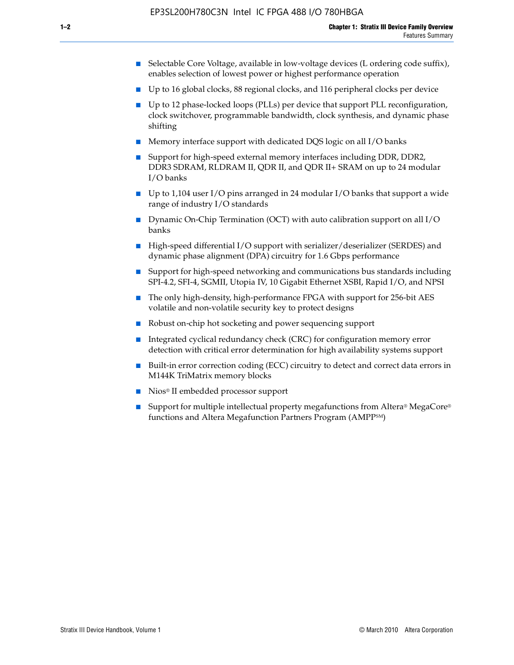- Selectable Core Voltage, available in low-voltage devices (L ordering code suffix), enables selection of lowest power or highest performance operation
- Up to 16 global clocks, 88 regional clocks, and 116 peripheral clocks per device
- Up to 12 phase-locked loops (PLLs) per device that support PLL reconfiguration, clock switchover, programmable bandwidth, clock synthesis, and dynamic phase shifting
- Memory interface support with dedicated DQS logic on all I/O banks
- Support for high-speed external memory interfaces including DDR, DDR2, DDR3 SDRAM, RLDRAM II, QDR II, and QDR II+ SRAM on up to 24 modular I/O banks
- Up to 1,104 user I/O pins arranged in 24 modular I/O banks that support a wide range of industry I/O standards
- Dynamic On-Chip Termination (OCT) with auto calibration support on all  $I/O$ banks
- High-speed differential I/O support with serializer/deserializer (SERDES) and dynamic phase alignment (DPA) circuitry for 1.6 Gbps performance
- Support for high-speed networking and communications bus standards including SPI-4.2, SFI-4, SGMII, Utopia IV, 10 Gigabit Ethernet XSBI, Rapid I/O, and NPSI
- The only high-density, high-performance FPGA with support for 256-bit AES volatile and non-volatile security key to protect designs
- Robust on-chip hot socketing and power sequencing support
- Integrated cyclical redundancy check (CRC) for configuration memory error detection with critical error determination for high availability systems support
- Built-in error correction coding (ECC) circuitry to detect and correct data errors in M144K TriMatrix memory blocks
- Nios<sup>®</sup> II embedded processor support
- Support for multiple intellectual property megafunctions from Altera® MegaCore® functions and Altera Megafunction Partners Program (AMPPSM)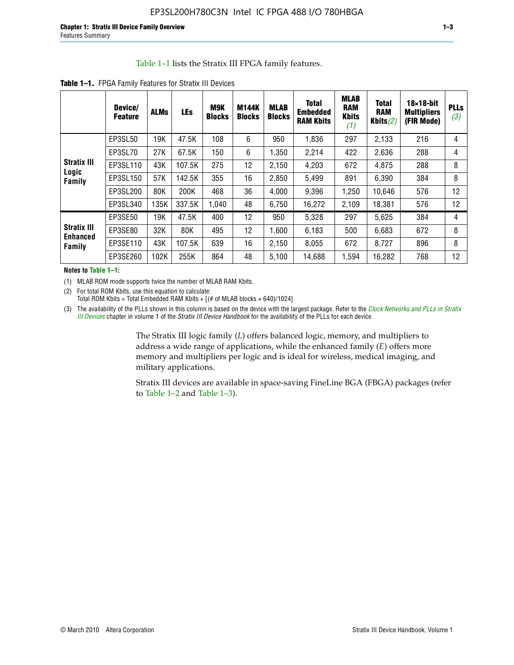#### Table 1–1 lists the Stratix III FPGA family features.

|                                                 | Device/<br><b>Feature</b> | <b>ALMs</b> | <b>LEs</b> | M9K<br><b>Blocks</b> | <b>M144K</b><br><b>Blocks</b> | <b>MLAB</b><br><b>Blocks</b> | <b>Total</b><br><b>Embedded</b><br><b>RAM Kbits</b> | <b>MLAB</b><br><b>RAM</b><br><b>Kbits</b><br>(1) | <b>Total</b><br><b>RAM</b><br>Kbits $(2)$ | $18\times18$ -bit<br><b>Multipliers</b><br>(FIR Mode) | <b>PLL</b><br>(3, |
|-------------------------------------------------|---------------------------|-------------|------------|----------------------|-------------------------------|------------------------------|-----------------------------------------------------|--------------------------------------------------|-------------------------------------------|-------------------------------------------------------|-------------------|
|                                                 | EP3SL50                   | 19K         | 47.5K      | 108                  | 6                             | 950                          | 1,836                                               | 297                                              | 2,133                                     | 216                                                   | 4                 |
|                                                 | EP3SL70                   | 27K         | 67.5K      | 150                  | 6                             | 1,350                        | 2,214                                               | 422                                              | 2,636                                     | 288                                                   | 4                 |
| <b>Stratix III</b>                              | EP3SL110                  | 43K         | 107.5K     | 275                  | 12                            | 2,150                        | 4,203                                               | 672                                              | 4,875                                     | 288                                                   | 8                 |
| Logic<br>Family                                 | EP3SL150                  | 57K         | 142.5K     | 355                  | 16                            | 2,850                        | 5,499                                               | 891                                              | 6,390                                     | 384                                                   | 8                 |
|                                                 | EP3SL200                  | 80K         | 200K       | 468                  | 36                            | 4,000                        | 9,396                                               | 1,250                                            | 10,646                                    | 576                                                   | 12                |
|                                                 | EP3SL340                  | 135K        | 337.5K     | 1,040                | 48                            | 6,750                        | 16,272                                              | 2,109                                            | 18,381                                    | 576                                                   | 12                |
|                                                 | EP3SE50                   | 19K         | 47.5K      | 400                  | 12                            | 950                          | 5,328                                               | 297                                              | 5,625                                     | 384                                                   | 4                 |
| <b>Stratix III</b><br><b>Enhanced</b><br>Family | EP3SE80                   | 32K         | 80K        | 495                  | 12                            | 1,600                        | 6,183                                               | 500                                              | 6,683                                     | 672                                                   | 8                 |
|                                                 | EP3SE110                  | 43K         | 107.5K     | 639                  | 16                            | 2,150                        | 8.055                                               | 672                                              | 8,727                                     | 896                                                   | 8                 |
|                                                 | EP3SE260                  | 102K        | 255K       | 864                  | 48                            | 5,100                        | 14,688                                              | 1,594                                            | 16,282                                    | 768                                                   | 12                |

**Table 1–1.** FPGA Family Features for Stratix III Devices

**Notes to Table 1–1:**

(1) MLAB ROM mode supports twice the number of MLAB RAM Kbits.

(2) For total ROM Kbits, use this equation to calculate: Total ROM Kbits = Total Embedded RAM Kbits +  $[(# of MLAB blocks × 640)/1024]$ 

(3) The availability of the PLLs shown in this column is based on the device with the largest package. Refer to the *[Clock Networks and PLLs in Stratix](http://www.altera.com/literature/hb/stx3/stx3_siii51006.pdf)  [III Devices](http://www.altera.com/literature/hb/stx3/stx3_siii51006.pdf)* chapter in volume 1 of the *Stratix III Device Handbook* for the availability of the PLLs for each device.

> The Stratix III logic family (*L*) offers balanced logic, memory, and multipliers to address a wide range of applications, while the enhanced family (*E*) offers more memory and multipliers per logic and is ideal for wireless, medical imaging, and military applications.

Stratix III devices are available in space-saving FineLine BGA (FBGA) packages (refer to Table 1–2 and Table 1–3).

**PLLs**  *(3)*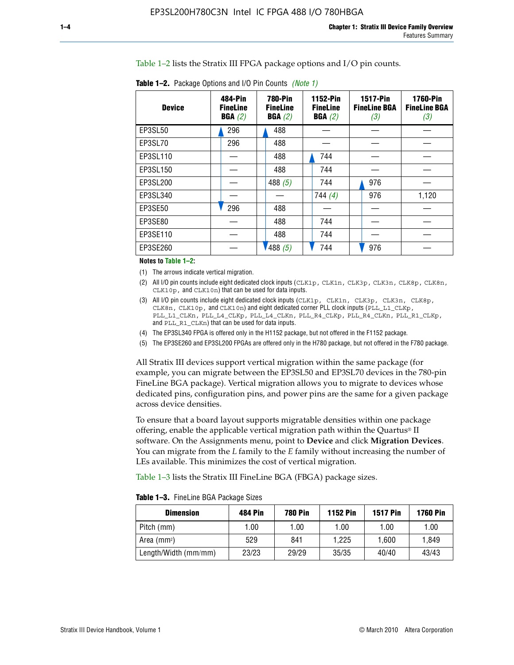Table 1–2 lists the Stratix III FPGA package options and I/O pin counts.

| <b>Device</b> | 484-Pin<br><b>FineLine</b><br>BGA(2) | <b>780-Pin</b><br><b>FineLine</b><br>BGA(2) | 1152-Pin<br><b>FineLine</b><br>BGA(2) | <b>1517-Pin</b><br><b>FineLine BGA</b><br>(3) | <b>1760-Pin</b><br><b>FineLine BGA</b><br>(3) |
|---------------|--------------------------------------|---------------------------------------------|---------------------------------------|-----------------------------------------------|-----------------------------------------------|
| EP3SL50       | 296                                  | 488                                         |                                       |                                               |                                               |
| EP3SL70       | 296                                  | 488                                         |                                       |                                               |                                               |
| EP3SL110      |                                      | 488                                         | 744                                   |                                               |                                               |
| EP3SL150      |                                      | 488                                         | 744                                   |                                               |                                               |
| EP3SL200      |                                      | 488 $(5)$                                   | 744                                   | 976                                           |                                               |
| EP3SL340      |                                      |                                             | 744(4)                                | 976                                           | 1,120                                         |
| EP3SE50       | 296                                  | 488                                         |                                       |                                               |                                               |
| EP3SE80       |                                      | 488                                         | 744                                   |                                               |                                               |
| EP3SE110      |                                      | 488                                         | 744                                   |                                               |                                               |
| EP3SE260      |                                      | 1488(5)                                     | 744                                   | 976                                           |                                               |

**Table 1–2.** Package Options and I/O Pin Counts *(Note 1)*

**Notes to Table 1–2:**

(1) The arrows indicate vertical migration.

- (2) All I/O pin counts include eight dedicated clock inputs (CLK1p, CLK1n, CLK3p, CLK3n, CLK8p, CLK8n, CLK10p, and CLK10n) that can be used for data inputs.
- (3) All I/O pin counts include eight dedicated clock inputs (CLK1p, CLK1n, CLK3p, CLK3n, CLK8p, CLK8n, CLK10p, and CLK10n) and eight dedicated corner PLL clock inputs (PLL\_L1\_CLKp, PLL\_L1\_CLKn, PLL\_L4\_CLKp, PLL\_L4\_CLKn, PLL\_R4\_CLKp, PLL\_R4\_CLKn, PLL\_R1\_CLKp, and PLL\_R1\_CLKn) that can be used for data inputs.
- (4) The EP3SL340 FPGA is offered only in the H1152 package, but not offered in the F1152 package.
- (5) The EP3SE260 and EP3SL200 FPGAs are offered only in the H780 package, but not offered in the F780 package.

All Stratix III devices support vertical migration within the same package (for example, you can migrate between the EP3SL50 and EP3SL70 devices in the 780-pin FineLine BGA package). Vertical migration allows you to migrate to devices whose dedicated pins, configuration pins, and power pins are the same for a given package across device densities.

To ensure that a board layout supports migratable densities within one package offering, enable the applicable vertical migration path within the Quartus® II software. On the Assignments menu, point to **Device** and click **Migration Devices**. You can migrate from the *L* family to the *E* family without increasing the number of LEs available. This minimizes the cost of vertical migration.

Table 1–3 lists the Stratix III FineLine BGA (FBGA) package sizes.

**Table 1–3.** FineLine BGA Package Sizes

| <b>Dimension</b>     | <b>484 Pin</b> | <b>780 Pin</b> | <b>1152 Pin</b> | <b>1517 Pin</b> | <b>1760 Pin</b> |
|----------------------|----------------|----------------|-----------------|-----------------|-----------------|
| Pitch (mm)           | 1.00           | 1.00           | 1.00            | 1.00            | 1.00            |
| Area $(mm2)$         | 529            | 841            | 1.225           | 1.600           | 1.849           |
| Length/Width (mm/mm) | 23/23          | 29/29          | 35/35           | 40/40           | 43/43           |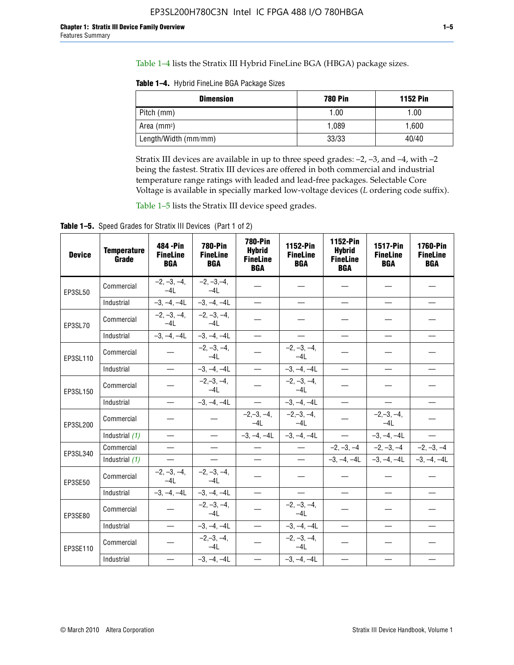Table 1–4 lists the Stratix III Hybrid FineLine BGA (HBGA) package sizes.

**Table 1–4.** Hybrid FineLine BGA Package Sizes

| <b>Dimension</b>     | <b>780 Pin</b> | <b>1152 Pin</b> |
|----------------------|----------------|-----------------|
| Pitch (mm)           | 1.00           | 1.00            |
| Area $(mm^2)$        | 1.089          | 1.600           |
| Length/Width (mm/mm) | 33/33          | 40/40           |

Stratix III devices are available in up to three speed grades: –2, –3, and –4, with –2 being the fastest. Stratix III devices are offered in both commercial and industrial temperature range ratings with leaded and lead-free packages. Selectable Core Voltage is available in specially marked low-voltage devices (*L* ordering code suffix).

Table 1–5 lists the Stratix III device speed grades.

Table 1-5. Speed Grades for Stratix III Devices (Part 1 of 2)

| <b>Device</b> | <b>Temperature</b><br>Grade | 484 - Pin<br><b>FineLine</b><br><b>BGA</b> | <b>780-Pin</b><br><b>FineLine</b><br><b>BGA</b> | <b>780-Pin</b><br><b>Hybrid</b><br><b>FineLine</b><br><b>BGA</b> | 1152-Pin<br><b>FineLine</b><br><b>BGA</b> | 1152-Pin<br><b>Hybrid</b><br><b>FineLine</b><br><b>BGA</b> | 1517-Pin<br><b>FineLine</b><br><b>BGA</b> | 1760-Pin<br><b>FineLine</b><br><b>BGA</b> |
|---------------|-----------------------------|--------------------------------------------|-------------------------------------------------|------------------------------------------------------------------|-------------------------------------------|------------------------------------------------------------|-------------------------------------------|-------------------------------------------|
| EP3SL50       | Commercial                  | $-2, -3, -4,$<br>$-4L$                     | $-2, -3, -4,$<br>$-4L$                          |                                                                  |                                           |                                                            |                                           |                                           |
|               | Industrial                  | $-3, -4, -4L$                              | $-3, -4, -4L$                                   | $\overline{\phantom{0}}$                                         | $\equiv$                                  | $\overline{\phantom{0}}$                                   |                                           | $\overline{\phantom{0}}$                  |
| EP3SL70       | Commercial                  | $-2, -3, -4,$<br>$-4L$                     | $-2, -3, -4,$<br>$-41$                          |                                                                  |                                           |                                                            |                                           |                                           |
|               | Industrial                  | $-3, -4, -4L$                              | $-3, -4, -4L$                                   | $\overbrace{\phantom{1232211}}$                                  |                                           | $\overline{\phantom{0}}$                                   | $\overline{\phantom{0}}$                  | $\overline{\phantom{0}}$                  |
| EP3SL110      | Commercial                  |                                            | $-2, -3, -4,$<br>$-4L$                          |                                                                  | $-2, -3, -4,$<br>$-4L$                    |                                                            |                                           |                                           |
|               | Industrial                  | $\equiv$                                   | $-3, -4, -4L$                                   | $\frac{1}{1}$                                                    | $-3, -4, -4L$                             | $\frac{1}{2}$                                              |                                           | $\overline{\phantom{0}}$                  |
| EP3SL150      | Commercial                  |                                            | $-2, -3, -4,$<br>$-41$                          |                                                                  | $-2, -3, -4,$<br>$-41$                    |                                                            |                                           |                                           |
|               | Industrial                  | $\overline{\phantom{m}}$                   | $-3, -4, -4L$                                   | $\equiv$                                                         | $-3, -4, -4L$                             | $\overline{\phantom{0}}$                                   |                                           | $\overbrace{\phantom{12322111}}$          |
| EP3SL200      | Commercial                  |                                            |                                                 | $-2, -3, -4,$<br>$-4L$                                           | $-2, -3, -4,$<br>$-4L$                    |                                                            | $-2,-3,-4,$<br>$-4L$                      |                                           |
|               | Industrial (1)              | $\equiv$                                   | $\equiv$                                        | $-3, -4, -4L$                                                    | $-3, -4, -4L$                             | $\equiv$                                                   | $-3, -4, -4L$                             | $\equiv$                                  |
| EP3SL340      | Commercial                  |                                            | $\equiv$                                        |                                                                  | $\overline{\phantom{m}}$                  |                                                            | $-2, -3, -4$ $-2, -3, -4$                 | $-2, -3, -4$                              |
|               | Industrial (1)              |                                            | $\equiv$                                        | $\qquad \qquad -$                                                | $\overline{\phantom{0}}$                  |                                                            | $-3, -4, -4$ $-3, -4, -4$                 | $-3, -4, -4L$                             |
| EP3SE50       | Commercial                  | $-2, -3, -4,$<br>$-4L$                     | $-2, -3, -4,$<br>$-4L$                          |                                                                  |                                           |                                                            |                                           |                                           |
|               | Industrial                  | $-3, -4, -4L$                              | $-3, -4, -4L$                                   |                                                                  | $\overline{\phantom{0}}$                  |                                                            | $\overline{\phantom{0}}$                  | $\overline{\phantom{0}}$                  |
| EP3SE80       | Commercial                  |                                            | $-2, -3, -4,$<br>$-41$                          |                                                                  | $-2, -3, -4,$<br>$-4L$                    |                                                            |                                           |                                           |
|               | Industrial                  | $\overline{\phantom{m}}$                   | $-3, -4, -4L$                                   |                                                                  | $-3, -4, -4L$                             |                                                            | $\equiv$                                  |                                           |
| EP3SE110      | Commercial                  |                                            | $-2, -3, -4,$<br>$-4L$                          |                                                                  | $-2, -3, -4,$<br>$-4L$                    |                                                            |                                           |                                           |
|               | Industrial                  |                                            | $-3, -4, -4L$                                   | $\equiv$                                                         | $-3, -4, -4L$                             |                                                            |                                           |                                           |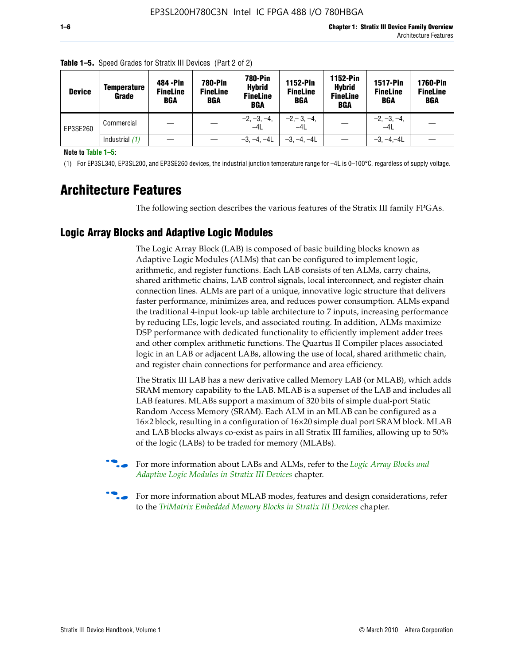| <b>Device</b> | <b>Temperature</b><br>Grade | 484 - Pin<br><b>FineLine</b><br><b>BGA</b> | <b>780-Pin</b><br><b>FineLine</b><br><b>BGA</b> | <b>780-Pin</b><br><b>Hybrid</b><br><b>FineLine</b><br><b>BGA</b> | 1152-Pin<br><b>FineLine</b><br>BGA | 1152-Pin<br><b>Hybrid</b><br><b>FineLine</b><br>BGA | <b>1517-Pin</b><br><b>FineLine</b><br><b>BGA</b> | <b>1760-Pin</b><br><b>FineLine</b><br><b>BGA</b> |
|---------------|-----------------------------|--------------------------------------------|-------------------------------------------------|------------------------------------------------------------------|------------------------------------|-----------------------------------------------------|--------------------------------------------------|--------------------------------------------------|
| EP3SE260      | Commercial                  |                                            |                                                 | $-2, -3, -4,$<br>$-4L$                                           | $-2, -3, -4,$<br>$-4L$             |                                                     | $-2, -3, -4,$<br>$-4L$                           |                                                  |
|               | Industrial $(1)$            |                                            |                                                 | $-3, -4, -4L$                                                    | $-3, -4, -4L$                      |                                                     | $-3, -4, -4L$                                    |                                                  |

**Table 1–5.** Speed Grades for Stratix III Devices (Part 2 of 2)

**Note to Table 1–5:**

(1) For EP3SL340, EP3SL200, and EP3SE260 devices, the industrial junction temperature range for –4L is 0–100°C, regardless of supply voltage.

# **Architecture Features**

The following section describes the various features of the Stratix III family FPGAs.

#### **Logic Array Blocks and Adaptive Logic Modules**

The Logic Array Block (LAB) is composed of basic building blocks known as Adaptive Logic Modules (ALMs) that can be configured to implement logic, arithmetic, and register functions. Each LAB consists of ten ALMs, carry chains, shared arithmetic chains, LAB control signals, local interconnect, and register chain connection lines. ALMs are part of a unique, innovative logic structure that delivers faster performance, minimizes area, and reduces power consumption. ALMs expand the traditional 4-input look-up table architecture to 7 inputs, increasing performance by reducing LEs, logic levels, and associated routing. In addition, ALMs maximize DSP performance with dedicated functionality to efficiently implement adder trees and other complex arithmetic functions. The Quartus II Compiler places associated logic in an LAB or adjacent LABs, allowing the use of local, shared arithmetic chain, and register chain connections for performance and area efficiency.

The Stratix III LAB has a new derivative called Memory LAB (or MLAB), which adds SRAM memory capability to the LAB. MLAB is a superset of the LAB and includes all LAB features. MLABs support a maximum of 320 bits of simple dual-port Static Random Access Memory (SRAM). Each ALM in an MLAB can be configured as a 16×2 block, resulting in a configuration of 16×20 simple dual port SRAM block. MLAB and LAB blocks always co-exist as pairs in all Stratix III families, allowing up to 50% of the logic (LABs) to be traded for memory (MLABs).



f For more information about LABs and ALMs, refer to the *[Logic Array Blocks and](http://www.altera.com/literature/hb/stx3/stx3_siii51002.pdf)  [Adaptive Logic Modules in Stratix III Devices](http://www.altera.com/literature/hb/stx3/stx3_siii51002.pdf)* chapter.



For more information about MLAB modes, features and design considerations, refer to the *[TriMatrix Embedded Memory Blocks in Stratix III Devices](http://www.altera.com/literature/hb/stx3/stx3_siii51004.pdf)* chapter.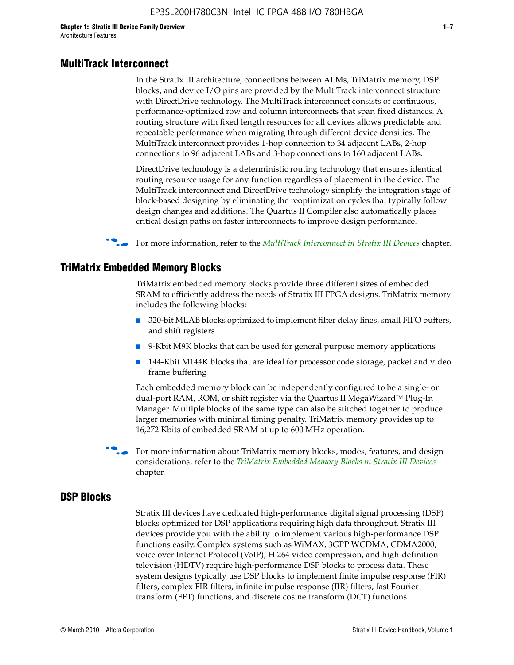#### **MultiTrack Interconnect**

In the Stratix III architecture, connections between ALMs, TriMatrix memory, DSP blocks, and device I/O pins are provided by the MultiTrack interconnect structure with DirectDrive technology. The MultiTrack interconnect consists of continuous, performance-optimized row and column interconnects that span fixed distances. A routing structure with fixed length resources for all devices allows predictable and repeatable performance when migrating through different device densities. The MultiTrack interconnect provides 1-hop connection to 34 adjacent LABs, 2-hop connections to 96 adjacent LABs and 3-hop connections to 160 adjacent LABs.

DirectDrive technology is a deterministic routing technology that ensures identical routing resource usage for any function regardless of placement in the device. The MultiTrack interconnect and DirectDrive technology simplify the integration stage of block-based designing by eliminating the reoptimization cycles that typically follow design changes and additions. The Quartus II Compiler also automatically places critical design paths on faster interconnects to improve design performance.

#### **For more information, refer to the** *[MultiTrack Interconnect in Stratix III Devices](http://www.altera.com/literature/hb/stx3/stx3_siii51003.pdf)* **chapter.**

#### **TriMatrix Embedded Memory Blocks**

TriMatrix embedded memory blocks provide three different sizes of embedded SRAM to efficiently address the needs of Stratix III FPGA designs. TriMatrix memory includes the following blocks:

- 320-bit MLAB blocks optimized to implement filter delay lines, small FIFO buffers, and shift registers
- 9-Kbit M9K blocks that can be used for general purpose memory applications
- 144-Kbit M144K blocks that are ideal for processor code storage, packet and video frame buffering

Each embedded memory block can be independently configured to be a single- or dual-port RAM, ROM, or shift register via the Quartus II MegaWizard™ Plug-In Manager. Multiple blocks of the same type can also be stitched together to produce larger memories with minimal timing penalty. TriMatrix memory provides up to 16,272 Kbits of embedded SRAM at up to 600 MHz operation.

For more information about TriMatrix memory blocks, modes, features, and design considerations, refer to the *[TriMatrix Embedded Memory Blocks in Stratix III Devices](http://www.altera.com/literature/hb/stx3/stx3_siii51004.pdf)* chapter.

#### **DSP Blocks**

Stratix III devices have dedicated high-performance digital signal processing (DSP) blocks optimized for DSP applications requiring high data throughput. Stratix III devices provide you with the ability to implement various high-performance DSP functions easily. Complex systems such as WiMAX, 3GPP WCDMA, CDMA2000, voice over Internet Protocol (VoIP), H.264 video compression, and high-definition television (HDTV) require high-performance DSP blocks to process data. These system designs typically use DSP blocks to implement finite impulse response (FIR) filters, complex FIR filters, infinite impulse response (IIR) filters, fast Fourier transform (FFT) functions, and discrete cosine transform (DCT) functions.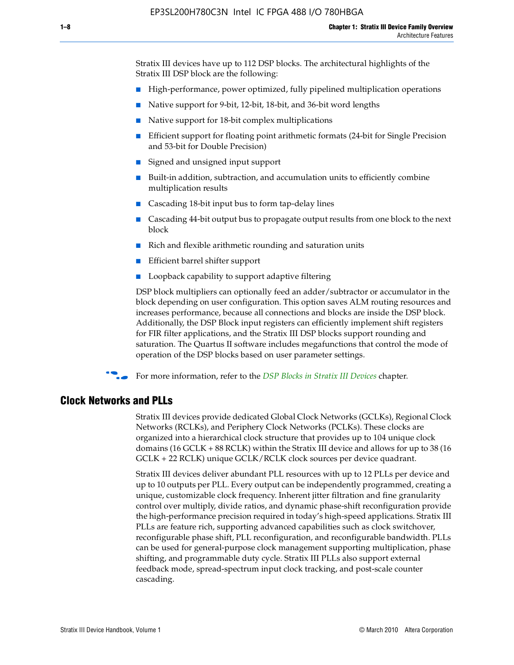Stratix III devices have up to 112 DSP blocks. The architectural highlights of the Stratix III DSP block are the following:

- High-performance, power optimized, fully pipelined multiplication operations
- Native support for 9-bit, 12-bit, 18-bit, and 36-bit word lengths
- Native support for 18-bit complex multiplications
- Efficient support for floating point arithmetic formats (24-bit for Single Precision and 53-bit for Double Precision)
- Signed and unsigned input support
- Built-in addition, subtraction, and accumulation units to efficiently combine multiplication results
- Cascading 18-bit input bus to form tap-delay lines
- Cascading 44-bit output bus to propagate output results from one block to the next block
- Rich and flexible arithmetic rounding and saturation units
- Efficient barrel shifter support
- Loopback capability to support adaptive filtering

DSP block multipliers can optionally feed an adder/subtractor or accumulator in the block depending on user configuration. This option saves ALM routing resources and increases performance, because all connections and blocks are inside the DSP block. Additionally, the DSP Block input registers can efficiently implement shift registers for FIR filter applications, and the Stratix III DSP blocks support rounding and saturation. The Quartus II software includes megafunctions that control the mode of operation of the DSP blocks based on user parameter settings.

f For more information, refer to the *[DSP Blocks in Stratix III Devices](http://www.altera.com/literature/hb/stx3/stx3_siii51005.pdf)* chapter.

#### **Clock Networks and PLLs**

Stratix III devices provide dedicated Global Clock Networks (GCLKs), Regional Clock Networks (RCLKs), and Periphery Clock Networks (PCLKs). These clocks are organized into a hierarchical clock structure that provides up to 104 unique clock domains (16 GCLK + 88 RCLK) within the Stratix III device and allows for up to 38 (16 GCLK + 22 RCLK) unique GCLK/RCLK clock sources per device quadrant.

Stratix III devices deliver abundant PLL resources with up to 12 PLLs per device and up to 10 outputs per PLL. Every output can be independently programmed, creating a unique, customizable clock frequency. Inherent jitter filtration and fine granularity control over multiply, divide ratios, and dynamic phase-shift reconfiguration provide the high-performance precision required in today's high-speed applications. Stratix III PLLs are feature rich, supporting advanced capabilities such as clock switchover, reconfigurable phase shift, PLL reconfiguration, and reconfigurable bandwidth. PLLs can be used for general-purpose clock management supporting multiplication, phase shifting, and programmable duty cycle. Stratix III PLLs also support external feedback mode, spread-spectrum input clock tracking, and post-scale counter cascading.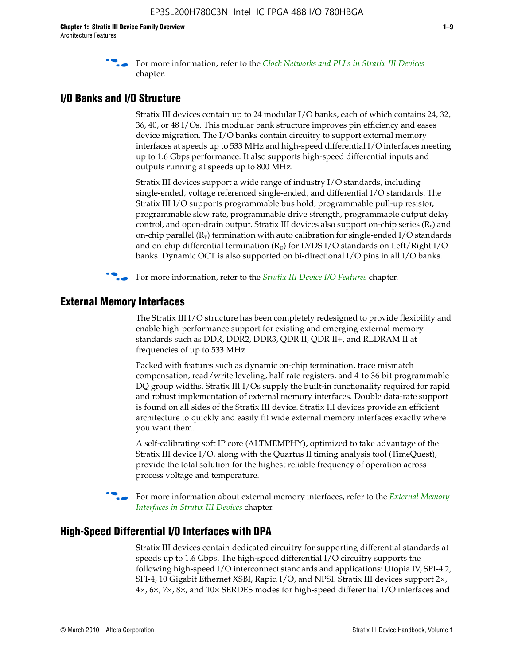f For more information, refer to the *[Clock Networks and PLLs in Stratix III Devices](http://www.altera.com/literature/hb/stx3/stx3_siii51006.pdf)* chapter.

#### **I/O Banks and I/O Structure**

Stratix III devices contain up to 24 modular I/O banks, each of which contains 24, 32, 36, 40, or 48 I/Os. This modular bank structure improves pin efficiency and eases device migration. The I/O banks contain circuitry to support external memory interfaces at speeds up to 533 MHz and high-speed differential I/O interfaces meeting up to 1.6 Gbps performance. It also supports high-speed differential inputs and outputs running at speeds up to 800 MHz.

Stratix III devices support a wide range of industry I/O standards, including single-ended, voltage referenced single-ended, and differential I/O standards. The Stratix III I/O supports programmable bus hold, programmable pull-up resistor, programmable slew rate, programmable drive strength, programmable output delay control, and open-drain output. Stratix III devices also support on-chip series  $(R<sub>s</sub>)$  and on-chip parallel  $(R_T)$  termination with auto calibration for single-ended I/O standards and on-chip differential termination  $(R_D)$  for LVDS I/O standards on Left/Right I/O banks. Dynamic OCT is also supported on bi-directional I/O pins in all I/O banks.

**For more information, refer to the** *[Stratix III Device I/O Features](http://www.altera.com/literature/hb/stx3/stx3_siii51007.pdf)* **chapter.** 

## **External Memory Interfaces**

The Stratix III I/O structure has been completely redesigned to provide flexibility and enable high-performance support for existing and emerging external memory standards such as DDR, DDR2, DDR3, QDR II, QDR II+, and RLDRAM II at frequencies of up to 533 MHz.

Packed with features such as dynamic on-chip termination, trace mismatch compensation, read/write leveling, half-rate registers, and 4-to 36-bit programmable DQ group widths, Stratix III I/Os supply the built-in functionality required for rapid and robust implementation of external memory interfaces. Double data-rate support is found on all sides of the Stratix III device. Stratix III devices provide an efficient architecture to quickly and easily fit wide external memory interfaces exactly where you want them.

A self-calibrating soft IP core (ALTMEMPHY), optimized to take advantage of the Stratix III device I/O, along with the Quartus II timing analysis tool (TimeQuest), provide the total solution for the highest reliable frequency of operation across process voltage and temperature.

f For more information about external memory interfaces, refer to the *[External Memory](http://www.altera.com/literature/hb/stx3/stx3_siii51008.pdf)  [Interfaces in Stratix III Devices](http://www.altera.com/literature/hb/stx3/stx3_siii51008.pdf)* chapter.

#### **High-Speed Differential I/O Interfaces with DPA**

Stratix III devices contain dedicated circuitry for supporting differential standards at speeds up to 1.6 Gbps. The high-speed differential I/O circuitry supports the following high-speed I/O interconnect standards and applications: Utopia IV, SPI-4.2, SFI-4, 10 Gigabit Ethernet XSBI, Rapid I/O, and NPSI. Stratix III devices support 2×, 4×, 6×, 7×, 8×, and 10× SERDES modes for high-speed differential I/O interfaces and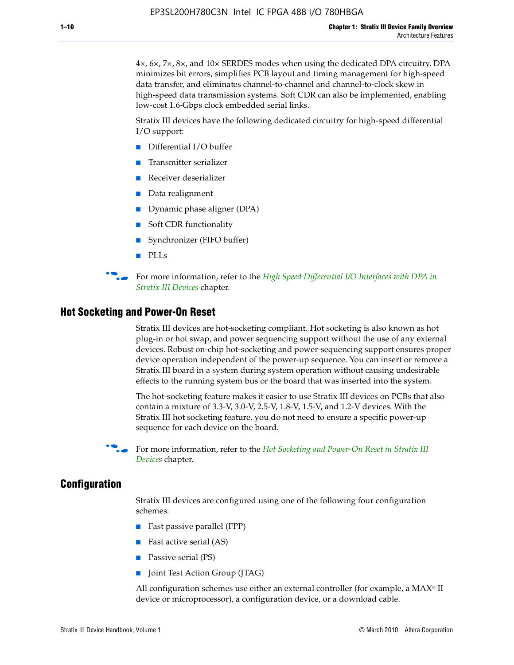4×, 6×, 7×, 8×, and 10× SERDES modes when using the dedicated DPA circuitry. DPA minimizes bit errors, simplifies PCB layout and timing management for high-speed data transfer, and eliminates channel-to-channel and channel-to-clock skew in high-speed data transmission systems. Soft CDR can also be implemented, enabling low-cost 1.6-Gbps clock embedded serial links.

Stratix III devices have the following dedicated circuitry for high-speed differential I/O support:

- Differential I/O buffer
- Transmitter serializer
- Receiver deserializer
- Data realignment
- Dynamic phase aligner (DPA)
- Soft CDR functionality
- Synchronizer (FIFO buffer)
- PLLs

**for more information, refer to the** *High Speed Differential I/O Interfaces with DPA in [Stratix III Devices](http://www.altera.com/literature/hb/stx3/stx3_siii51009.pdf)* chapter.

#### **Hot Socketing and Power-On Reset**

Stratix III devices are hot-socketing compliant. Hot socketing is also known as hot plug-in or hot swap, and power sequencing support without the use of any external devices. Robust on-chip hot-socketing and power-sequencing support ensures proper device operation independent of the power-up sequence. You can insert or remove a Stratix III board in a system during system operation without causing undesirable effects to the running system bus or the board that was inserted into the system.

The hot-socketing feature makes it easier to use Stratix III devices on PCBs that also contain a mixture of 3.3-V, 3.0-V, 2.5-V, 1.8-V, 1.5-V, and 1.2-V devices. With the Stratix III hot socketing feature, you do not need to ensure a specific power-up sequence for each device on the board.

f For more information, refer to the *[Hot Socketing and Power-On Reset in Stratix III](http://www.altera.com/literature/hb/stx3/stx3_siii51010.pdf)  [Device](http://www.altera.com/literature/hb/stx3/stx3_siii51010.pdf)s* chapter.

#### **Configuration**

Stratix III devices are configured using one of the following four configuration schemes:

- Fast passive parallel (FPP)
- Fast active serial (AS)
- Passive serial (PS)
- Joint Test Action Group (JTAG)

All configuration schemes use either an external controller (for example, a  $MAX<sup>®</sup>$  II device or microprocessor), a configuration device, or a download cable.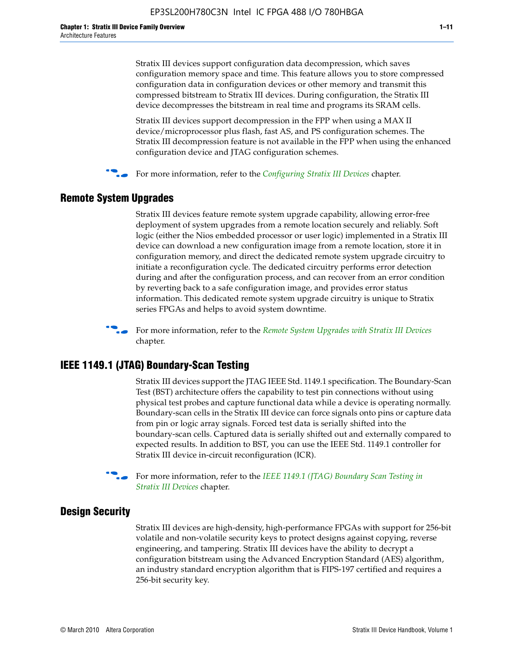Stratix III devices support configuration data decompression, which saves configuration memory space and time. This feature allows you to store compressed configuration data in configuration devices or other memory and transmit this compressed bitstream to Stratix III devices. During configuration, the Stratix III device decompresses the bitstream in real time and programs its SRAM cells.

Stratix III devices support decompression in the FPP when using a MAX II device/microprocessor plus flash, fast AS, and PS configuration schemes. The Stratix III decompression feature is not available in the FPP when using the enhanced configuration device and JTAG configuration schemes.

For more information, refer to the *[Configuring Stratix III Devices](http://www.altera.com/literature/hb/stx3/stx3_siii51011.pdf)* chapter.

#### **Remote System Upgrades**

Stratix III devices feature remote system upgrade capability, allowing error-free deployment of system upgrades from a remote location securely and reliably. Soft logic (either the Nios embedded processor or user logic) implemented in a Stratix III device can download a new configuration image from a remote location, store it in configuration memory, and direct the dedicated remote system upgrade circuitry to initiate a reconfiguration cycle. The dedicated circuitry performs error detection during and after the configuration process, and can recover from an error condition by reverting back to a safe configuration image, and provides error status information. This dedicated remote system upgrade circuitry is unique to Stratix series FPGAs and helps to avoid system downtime.



**For more information, refer to the** *[Remote System Upgrades with Stratix III Devices](http://www.altera.com/literature/hb/stx3/stx3_siii51012.pdf)* chapter.

#### **IEEE 1149.1 (JTAG) Boundary-Scan Testing**

Stratix III devices support the JTAG IEEE Std. 1149.1 specification. The Boundary-Scan Test (BST) architecture offers the capability to test pin connections without using physical test probes and capture functional data while a device is operating normally. Boundary-scan cells in the Stratix III device can force signals onto pins or capture data from pin or logic array signals. Forced test data is serially shifted into the boundary-scan cells. Captured data is serially shifted out and externally compared to expected results. In addition to BST, you can use the IEEE Std. 1149.1 controller for Stratix III device in-circuit reconfiguration (ICR).

For more information, refer to the *IEEE 1149.1 (JTAG) Boundary Scan Testing in [Stratix III Devices](http://www.altera.com/literature/hb/stx3/stx3_siii51013.pdf)* chapter.

#### **Design Security**

Stratix III devices are high-density, high-performance FPGAs with support for 256-bit volatile and non-volatile security keys to protect designs against copying, reverse engineering, and tampering. Stratix III devices have the ability to decrypt a configuration bitstream using the Advanced Encryption Standard (AES) algorithm, an industry standard encryption algorithm that is FIPS-197 certified and requires a 256-bit security key.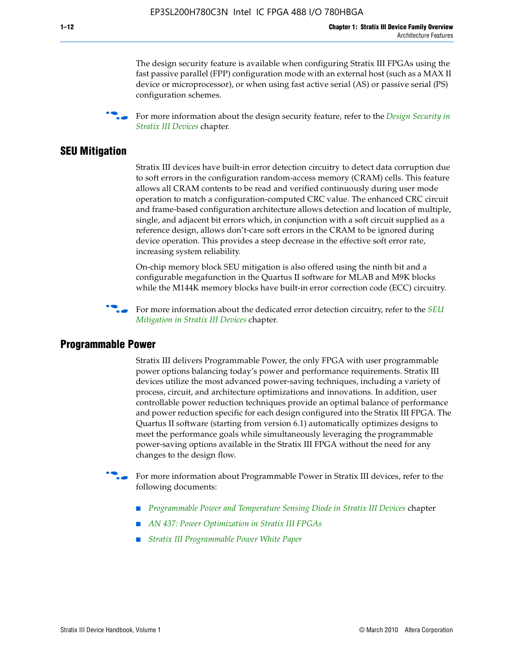The design security feature is available when configuring Stratix III FPGAs using the fast passive parallel (FPP) configuration mode with an external host (such as a MAX II device or microprocessor), or when using fast active serial (AS) or passive serial (PS) configuration schemes.

f For more information about the design security feature, refer to the *[Design Security in](http://www.altera.com/literature/hb/stx3/stx3_siii51014.pdf)  [Stratix III Devices](http://www.altera.com/literature/hb/stx3/stx3_siii51014.pdf)* chapter.

#### **SEU Mitigation**

Stratix III devices have built-in error detection circuitry to detect data corruption due to soft errors in the configuration random-access memory (CRAM) cells. This feature allows all CRAM contents to be read and verified continuously during user mode operation to match a configuration-computed CRC value. The enhanced CRC circuit and frame-based configuration architecture allows detection and location of multiple, single, and adjacent bit errors which, in conjunction with a soft circuit supplied as a reference design, allows don't-care soft errors in the CRAM to be ignored during device operation. This provides a steep decrease in the effective soft error rate, increasing system reliability.

On-chip memory block SEU mitigation is also offered using the ninth bit and a configurable megafunction in the Quartus II software for MLAB and M9K blocks while the M144K memory blocks have built-in error correction code (ECC) circuitry.

For more information about the dedicated error detection circuitry, refer to the *SEU [Mitigation in Stratix III Devices](http://www.altera.com/literature/hb/stx3/stx3_siii51015.pdf)* chapter.

#### **Programmable Power**

Stratix III delivers Programmable Power, the only FPGA with user programmable power options balancing today's power and performance requirements. Stratix III devices utilize the most advanced power-saving techniques, including a variety of process, circuit, and architecture optimizations and innovations. In addition, user controllable power reduction techniques provide an optimal balance of performance and power reduction specific for each design configured into the Stratix III FPGA. The Quartus II software (starting from version 6.1) automatically optimizes designs to meet the performance goals while simultaneously leveraging the programmable power-saving options available in the Stratix III FPGA without the need for any changes to the design flow.

For more information about Programmable Power in Stratix III devices, refer to the following documents:

- *[Programmable Power and Temperature Sensing Diode in Stratix III Devices](http://www.altera.com/literature/hb/stx3/stx3_siii51016.pdf) chapter*
- *[AN 437: Power Optimization in Stratix III FPGAs](http://www.altera.com/literature/an/AN437.pdf)*
- *[Stratix III Programmable Power White Paper](http://www.altera.com/literature/wp/wp-01006.pdf)*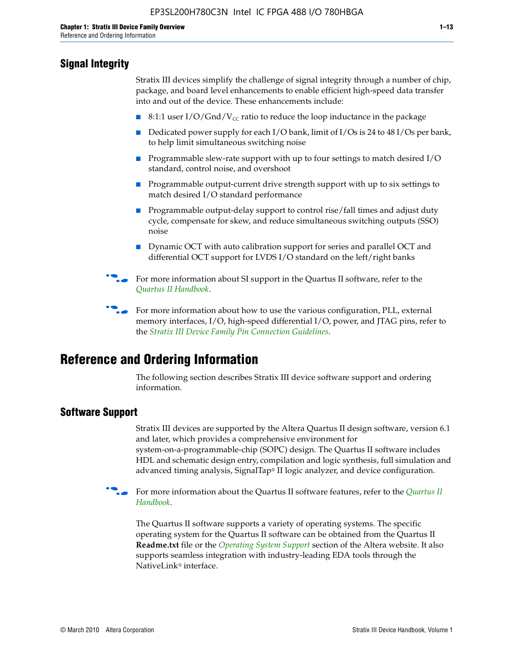## **Signal Integrity**

Stratix III devices simplify the challenge of signal integrity through a number of chip, package, and board level enhancements to enable efficient high-speed data transfer into and out of the device. These enhancements include:

- 8:1:1 user I/O/Gnd/V<sub>cc</sub> ratio to reduce the loop inductance in the package
- Dedicated power supply for each I/O bank, limit of I/Os is 24 to 48 I/Os per bank, to help limit simultaneous switching noise
- Programmable slew-rate support with up to four settings to match desired I/O standard, control noise, and overshoot
- Programmable output-current drive strength support with up to six settings to match desired I/O standard performance
- Programmable output-delay support to control rise/fall times and adjust duty cycle, compensate for skew, and reduce simultaneous switching outputs (SSO) noise
- Dynamic OCT with auto calibration support for series and parallel OCT and differential OCT support for LVDS I/O standard on the left/right banks
- For mor[e](http://www.altera.com/literature/hb/qts/quartusii_handbook.pdf) information about SI support in the Quartus II software, refer to the *[Quartus II Handbook](http://www.altera.com/literature/hb/qts/quartusii_handbook.pdf)*.

For more information about how to use the various configuration, PLL, external memory interfaces, I/O, high-speed differential I/O, power, and JTAG pins, refer to the *[Stratix III Device Family Pin Connection Guidelines](http://www.altera.com/literature/dp/stx3/PCG-01004.pdf)*.

# **Reference and Ordering Information**

The following section describes Stratix III device software support and ordering information.

### **Software Support**

Stratix III devices are supported by the Altera Quartus II design software, version 6.1 and later, which provides a comprehensive environment for system-on-a-programmable-chip (SOPC) design. The Quartus II software includes HDL and schematic design entry, compilation and logic synthesis, full simulation and advanced timing analysis, SignalTap® II logic analyzer, and device configuration.

**For more information about the [Quartus II](http://www.altera.com/literature/hb/qts/quartusii_handbook.pdf) software features, refer to the** *Quartus II* **<b>Fig. 7** *[Handbook](http://www.altera.com/literature/hb/qts/quartusii_handbook.pdf)*.

The Quartus II software supports a variety of operating systems. The specific operating system for the Quartus II software can be obtained from the Quartus II **Readme.txt** file or the *[Operating System Support](http://www.altera.com/support/software/os_support/oss-index.html)* section of the Altera website. It also supports seamless integration with industry-leading EDA tools through the NativeLink® interface.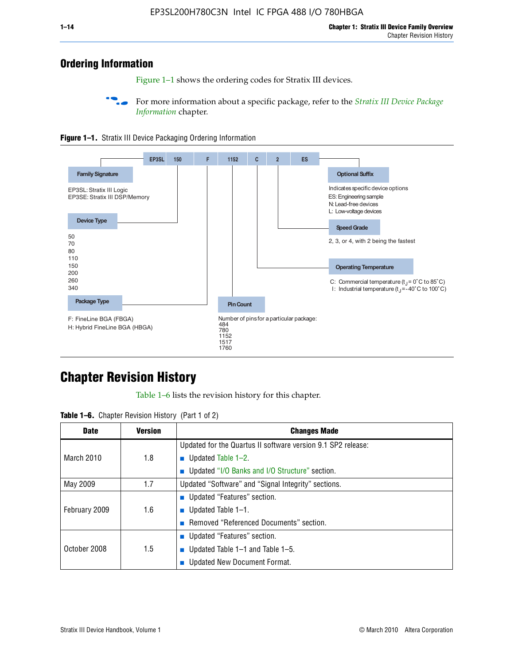## **Ordering Information**

Figure 1–1 shows the ordering codes for Stratix III devices.

For more information about a specific package, refer to the *Stratix III Device Package [Information](http://www.altera.com/literature/hb/stx3/stx3_siii51017.pdf)* chapter.





# **[C](http://www.altera.com/literature/hb/stx3/stx3_siii51012.pdf)hapter Revision History**

Table 1–6 lists the revision history for this chapter.

| <b>Table 1–6.</b> Chapter Revision History (Part 1 of 2) |  |  |  |  |  |
|----------------------------------------------------------|--|--|--|--|--|
|----------------------------------------------------------|--|--|--|--|--|

| <b>Date</b>       | <b>Version</b> | <b>Changes Made</b>                                          |
|-------------------|----------------|--------------------------------------------------------------|
|                   |                | Updated for the Quartus II software version 9.1 SP2 release: |
| <b>March 2010</b> | 1.8            | <b>u</b> Updated Table $1-2$ .                               |
|                   |                | ■ Updated "I/O Banks and I/O Structure" section.             |
| May 2009          | 1.7            | Updated "Software" and "Signal Integrity" sections.          |
|                   |                | Updated "Features" section.                                  |
| February 2009     | 1.6            | <b>u</b> Updated Table $1-1$ .                               |
|                   |                | Removed "Referenced Documents" section.                      |
|                   |                | ■ Updated "Features" section.                                |
| October 2008      | 1.5            | ■ Updated Table 1–1 and Table 1–5.                           |
|                   |                | <b>Updated New Document Format.</b>                          |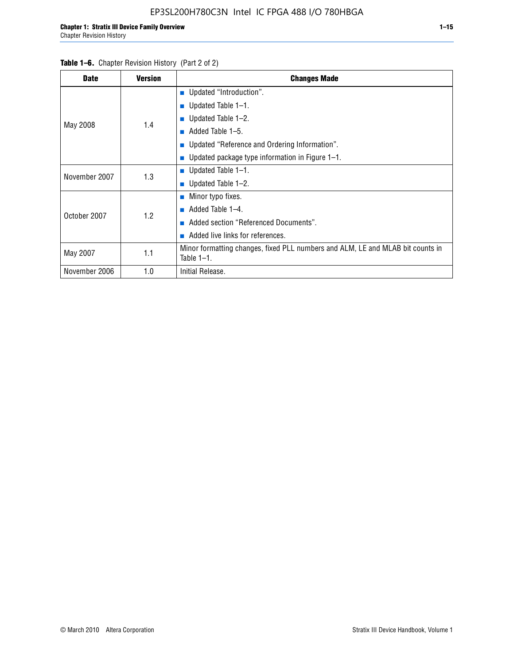#### Table 1–6. Chapter Revision History (Part 2 of 2)

| <b>Date</b>   | <b>Version</b> | <b>Changes Made</b>                                                                             |  |  |  |
|---------------|----------------|-------------------------------------------------------------------------------------------------|--|--|--|
|               |                | <b>Updated "Introduction".</b>                                                                  |  |  |  |
|               |                | $\blacksquare$ Updated Table 1-1.                                                               |  |  |  |
|               | 1.4            | <b>u</b> Updated Table $1-2$ .                                                                  |  |  |  |
| May 2008      |                | Added Table 1–5.                                                                                |  |  |  |
|               |                | ■ Updated "Reference and Ordering Information".                                                 |  |  |  |
|               |                | ■ Updated package type information in Figure $1-1$ .                                            |  |  |  |
| November 2007 | 1.3            | <b>U</b> pdated Table $1-1$ .                                                                   |  |  |  |
|               |                | ■ Updated Table $1-2$ .                                                                         |  |  |  |
|               |                | ■ Minor typo fixes.                                                                             |  |  |  |
| October 2007  | 1.2            | Added Table 1-4.                                                                                |  |  |  |
|               |                | Added section "Referenced Documents".<br>m.                                                     |  |  |  |
|               |                | Added live links for references.                                                                |  |  |  |
| May 2007      | 1.1            | Minor formatting changes, fixed PLL numbers and ALM, LE and MLAB bit counts in<br>Table $1-1$ . |  |  |  |
| November 2006 | 1.0            | Initial Release.                                                                                |  |  |  |